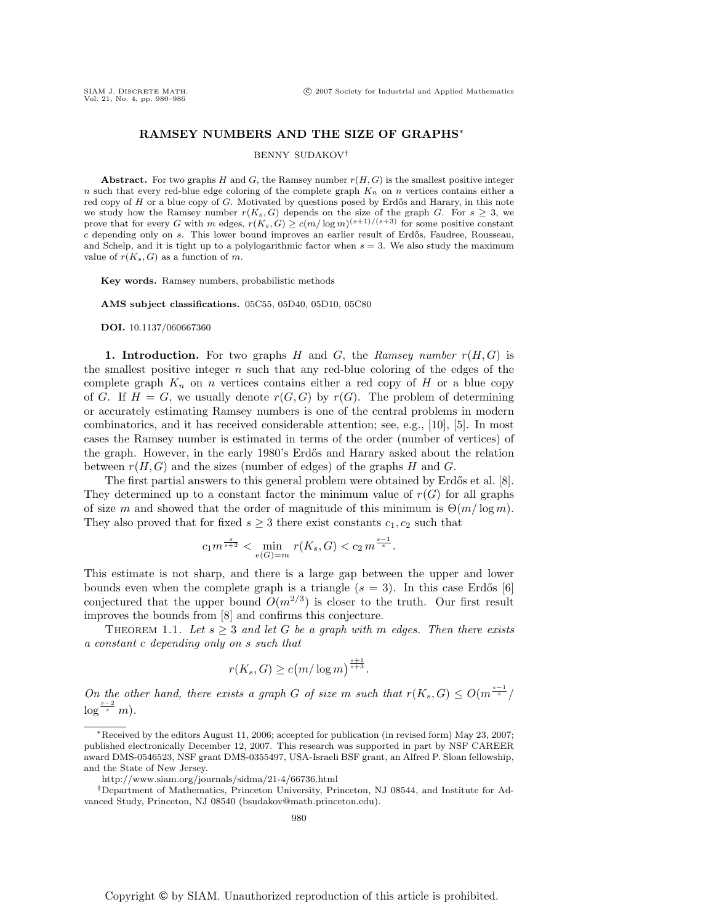## **RAMSEY NUMBERS AND THE SIZE OF GRAPHS**∗

### BENNY SUDAKOV†

**Abstract.** For two graphs H and G, the Ramsey number  $r(H, G)$  is the smallest positive integer n such that every red-blue edge coloring of the complete graph  $K_n$  on n vertices contains either a red copy of  $H$  or a blue copy of  $G$ . Motivated by questions posed by Erdős and Harary, in this note we study how the Ramsey number  $r(K_s, G)$  depends on the size of the graph G. For  $s \geq 3$ , we prove that for every G with m edges,  $r(K_s, G) \geq c(m/\log m)^{(s+1)/(s+3)}$  for some positive constant  $c$  depending only on  $s$ . This lower bound improves an earlier result of Erdős, Faudree, Rousseau, and Schelp, and it is tight up to a polylogarithmic factor when  $s = 3$ . We also study the maximum value of  $r(K_s, G)$  as a function of m.

**Key words.** Ramsey numbers, probabilistic methods

**AMS subject classifications.** 05C55, 05D40, 05D10, 05C80

**DOI.** 10.1137/060667360

**1. Introduction.** For two graphs H and G, the Ramsey number  $r(H, G)$  is the smallest positive integer  $n$  such that any red-blue coloring of the edges of the complete graph  $K_n$  on n vertices contains either a red copy of H or a blue copy of G. If  $H = G$ , we usually denote  $r(G, G)$  by  $r(G)$ . The problem of determining or accurately estimating Ramsey numbers is one of the central problems in modern combinatorics, and it has received considerable attention; see, e.g., [10], [5]. In most cases the Ramsey number is estimated in terms of the order (number of vertices) of the graph. However, in the early 1980's Erdős and Harary asked about the relation between  $r(H, G)$  and the sizes (number of edges) of the graphs H and G.

The first partial answers to this general problem were obtained by Erdős et al. [8]. They determined up to a constant factor the minimum value of  $r(G)$  for all graphs of size m and showed that the order of magnitude of this minimum is  $\Theta(m/\log m)$ . They also proved that for fixed  $s \geq 3$  there exist constants  $c_1, c_2$  such that

$$
c_1 m^{\frac{s}{s+2}} < \min_{e(G)=m} r(K_s, G) < c_2 m^{\frac{s-1}{s}}.
$$

This estimate is not sharp, and there is a large gap between the upper and lower bounds even when the complete graph is a triangle  $(s = 3)$ . In this case Erdős [6] conjectured that the upper bound  $O(m^{2/3})$  is closer to the truth. Our first result improves the bounds from [8] and confirms this conjecture.

THEOREM 1.1. Let  $s \geq 3$  and let G be a graph with m edges. Then there exists a constant c depending only on s such that

$$
r(K_s, G) \ge c \left( m / \log m \right)^{\frac{s+1}{s+3}}.
$$

On the other hand, there exists a graph G of size m such that  $r(K_s, G) \leq O(m^{\frac{s-1}{s}}/n)$  $\log^{\frac{s-2}{s}}m$ ).

<sup>∗</sup>Received by the editors August 11, 2006; accepted for publication (in revised form) May 23, 2007; published electronically December 12, 2007. This research was supported in part by NSF CAREER award DMS-0546523, NSF grant DMS-0355497, USA-Israeli BSF grant, an Alfred P. Sloan fellowship, and the State of New Jersey.

http://www.siam.org/journals/sidma/21-4/66736.html

<sup>†</sup>Department of Mathematics, Princeton University, Princeton, NJ 08544, and Institute for Advanced Study, Princeton, NJ 08540 (bsudakov@math.princeton.edu).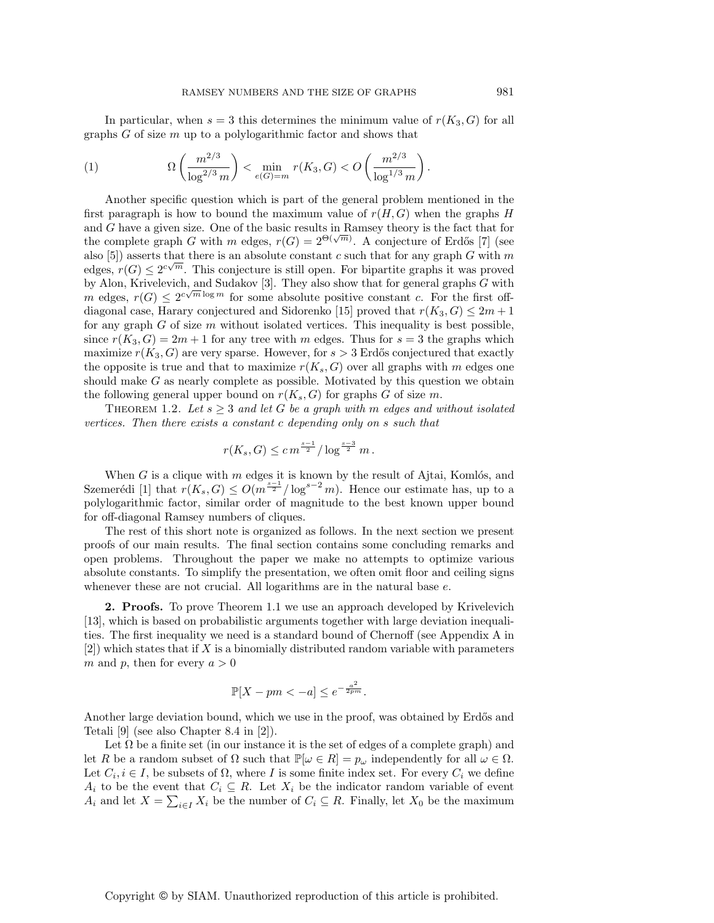In particular, when  $s = 3$  this determines the minimum value of  $r(K_3, G)$  for all graphs  $G$  of size  $m$  up to a polylogarithmic factor and shows that

(1) 
$$
\Omega\left(\frac{m^{2/3}}{\log^{2/3} m}\right) < \min_{e(G)=m} r(K_3, G) < O\left(\frac{m^{2/3}}{\log^{1/3} m}\right).
$$

Another specific question which is part of the general problem mentioned in the first paragraph is how to bound the maximum value of  $r(H, G)$  when the graphs H and G have a given size. One of the basic results in Ramsey theory is the fact that for the complete graph G with m edges,  $r(G)=2^{\Theta(\sqrt{m})}$ . A conjecture of Erdős [7] (see also [5]) asserts that there is an absolute constant c such that for any graph  $G$  with  $m$ edges,  $r(G) \leq 2^{c\sqrt{m}}$ . This conjecture is still open. For bipartite graphs it was proved by Alon, Krivelevich, and Sudakov [3]. They also show that for general graphs G with m edges,  $r(G) \leq 2^{c\sqrt{m}\log m}$  for some absolute positive constant c. For the first offdiagonal case, Harary conjectured and Sidorenko [15] proved that  $r(K_3, G) \leq 2m + 1$ for any graph  $G$  of size  $m$  without isolated vertices. This inequality is best possible, since  $r(K_3, G)=2m+1$  for any tree with m edges. Thus for  $s = 3$  the graphs which maximize  $r(K_3, G)$  are very sparse. However, for  $s > 3$  Erdős conjectured that exactly the opposite is true and that to maximize  $r(K_s, G)$  over all graphs with m edges one should make G as nearly complete as possible. Motivated by this question we obtain the following general upper bound on  $r(K_s, G)$  for graphs G of size m.

THEOREM 1.2. Let  $s \geq 3$  and let G be a graph with m edges and without isolated vertices. Then there exists a constant c depending only on s such that

$$
r(K_s, G) \leq c m^{\frac{s-1}{2}} / \log^{\frac{s-3}{2}} m
$$
.

When  $G$  is a clique with  $m$  edges it is known by the result of Ajtai, Komlós, and Szemerédi [1] that  $r(K_s, G) \leq O(m^{\frac{s-1}{2}}/\log^{s-2} m)$ . Hence our estimate has, up to a polylogarithmic factor, similar order of magnitude to the best known upper bound for off-diagonal Ramsey numbers of cliques.

The rest of this short note is organized as follows. In the next section we present proofs of our main results. The final section contains some concluding remarks and open problems. Throughout the paper we make no attempts to optimize various absolute constants. To simplify the presentation, we often omit floor and ceiling signs whenever these are not crucial. All logarithms are in the natural base  $e$ .

**2. Proofs.** To prove Theorem 1.1 we use an approach developed by Krivelevich [13], which is based on probabilistic arguments together with large deviation inequalities. The first inequality we need is a standard bound of Chernoff (see Appendix A in  $[2]$ ) which states that if X is a binomially distributed random variable with parameters m and p, then for every  $a > 0$ 

$$
\mathbb{P}[X - pm < -a] \le e^{-\frac{a^2}{2pm}}.
$$

Another large deviation bound, which we use in the proof, was obtained by Erdős and Tetali [9] (see also Chapter 8.4 in [2]).

Let  $\Omega$  be a finite set (in our instance it is the set of edges of a complete graph) and let R be a random subset of  $\Omega$  such that  $\mathbb{P}[\omega \in R] = p_{\omega}$  independently for all  $\omega \in \Omega$ . Let  $C_i, i \in I$ , be subsets of  $\Omega$ , where I is some finite index set. For every  $C_i$  we define  $A_i$  to be the event that  $C_i \subseteq R$ . Let  $X_i$  be the indicator random variable of event  $A_i$  and let  $X = \sum_{i \in I} X_i$  be the number of  $C_i \subseteq R$ . Finally, let  $X_0$  be the maximum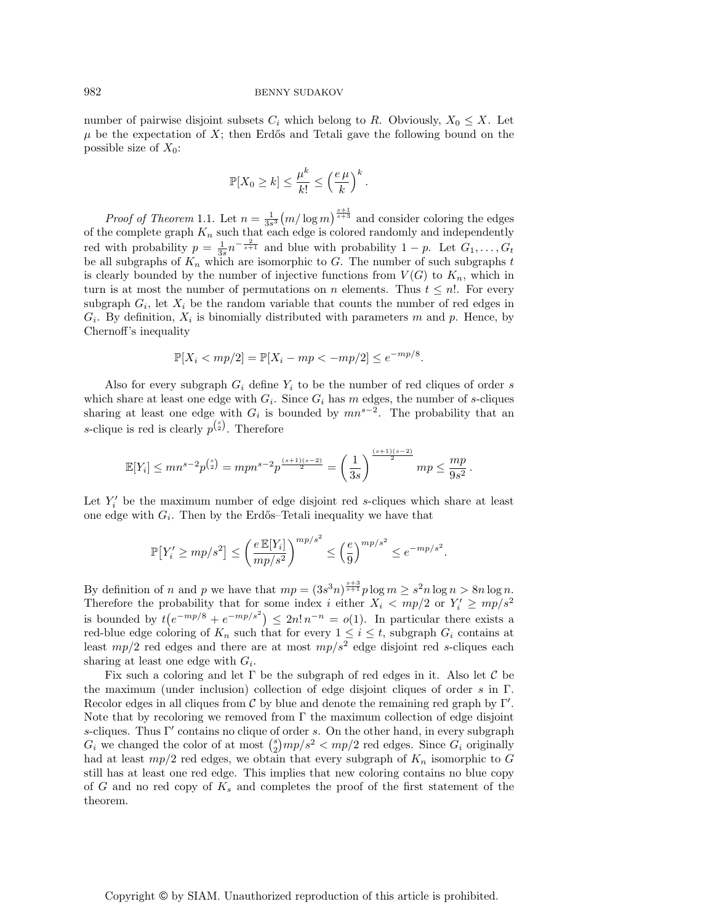#### 982 BENNY SUDAKOV

number of pairwise disjoint subsets  $C_i$  which belong to R. Obviously,  $X_0 \leq X$ . Let  $\mu$  be the expectation of X; then Erdős and Tetali gave the following bound on the possible size of  $X_0$ :

$$
\mathbb{P}[X_0 \ge k] \le \frac{\mu^k}{k!} \le \left(\frac{e\,\mu}{k}\right)^k.
$$

*Proof of Theorem* 1.1. Let  $n = \frac{1}{3s^3} (m/\log m)^{\frac{s+1}{s+3}}$  and consider coloring the edges of the complete graph  $K_n$  such that each edge is colored randomly and independently red with probability  $p = \frac{1}{3s} n^{-\frac{2}{s+1}}$  and blue with probability  $1 - p$ . Let  $G_1, \ldots, G_t$ be all subgraphs of  $K_n$  which are isomorphic to G. The number of such subgraphs t is clearly bounded by the number of injective functions from  $V(G)$  to  $K_n$ , which in turn is at most the number of permutations on n elements. Thus  $t \leq n!$ . For every subgraph  $G_i$ , let  $X_i$  be the random variable that counts the number of red edges in  $G_i$ . By definition,  $X_i$  is binomially distributed with parameters m and p. Hence, by Chernoff's inequality

$$
\mathbb{P}[X_i < mp/2] = \mathbb{P}[X_i - mp < -mp/2] \le e^{-mp/8}.
$$

Also for every subgraph  $G_i$  define  $Y_i$  to be the number of red cliques of order s which share at least one edge with  $G_i$ . Since  $G_i$  has m edges, the number of s-cliques sharing at least one edge with  $G_i$  is bounded by  $mn^{s-2}$ . The probability that an s-clique is red is clearly  $p^{s \choose 2}$ . Therefore

$$
\mathbb{E}[Y_i] \le mn^{s-2}p^{\binom{s}{2}} = mpn^{s-2}p^{\frac{(s+1)(s-2)}{2}} = \left(\frac{1}{3s}\right)^{\frac{(s+1)(s-2)}{2}}mp \le \frac{mp}{9s^2}.
$$

Let  $Y_i'$  be the maximum number of edge disjoint red s-cliques which share at least one edge with  $G_i$ . Then by the Erdős–Tetali inequality we have that

$$
\mathbb{P}\left[Y'_i \ge mp/s^2\right] \le \left(\frac{e \mathbb{E}[Y_i]}{mp/s^2}\right)^{mp/s^2} \le \left(\frac{e}{9}\right)^{mp/s^2} \le e^{-mp/s^2}
$$

.

By definition of n and p we have that  $mp = (3s^3n)^{\frac{s+3}{s+1}}p \log m \geq s^2n \log n > 8n \log n$ . Therefore the probability that for some index i either  $X_i < mp/2$  or  $Y_i' \ge mp/s^2$ is bounded by  $t(e^{-mp/8} + e^{-mp/s^2}) \leq 2n! n^{-n} = o(1)$ . In particular there exists a red-blue edge coloring of  $K_n$  such that for every  $1 \leq i \leq t$ , subgraph  $G_i$  contains at least  $mp/2$  red edges and there are at most  $mp/s^2$  edge disjoint red s-cliques each sharing at least one edge with  $G_i$ .

Fix such a coloring and let  $\Gamma$  be the subgraph of red edges in it. Also let  $\mathcal C$  be the maximum (under inclusion) collection of edge disjoint cliques of order s in Γ. Recolor edges in all cliques from  $\mathcal C$  by blue and denote the remaining red graph by  $\Gamma'$ . Note that by recoloring we removed from  $\Gamma$  the maximum collection of edge disjoint s-cliques. Thus Γ' contains no clique of order s. On the other hand, in every subgraph  $G_i$  we changed the color of at most  $\binom{s}{2}mp/s^2 < mp/2$  red edges. Since  $G_i$  originally had at least  $mp/2$  red edges, we obtain that every subgraph of  $K_n$  isomorphic to G still has at least one red edge. This implies that new coloring contains no blue copy of  $G$  and no red copy of  $K_s$  and completes the proof of the first statement of the theorem.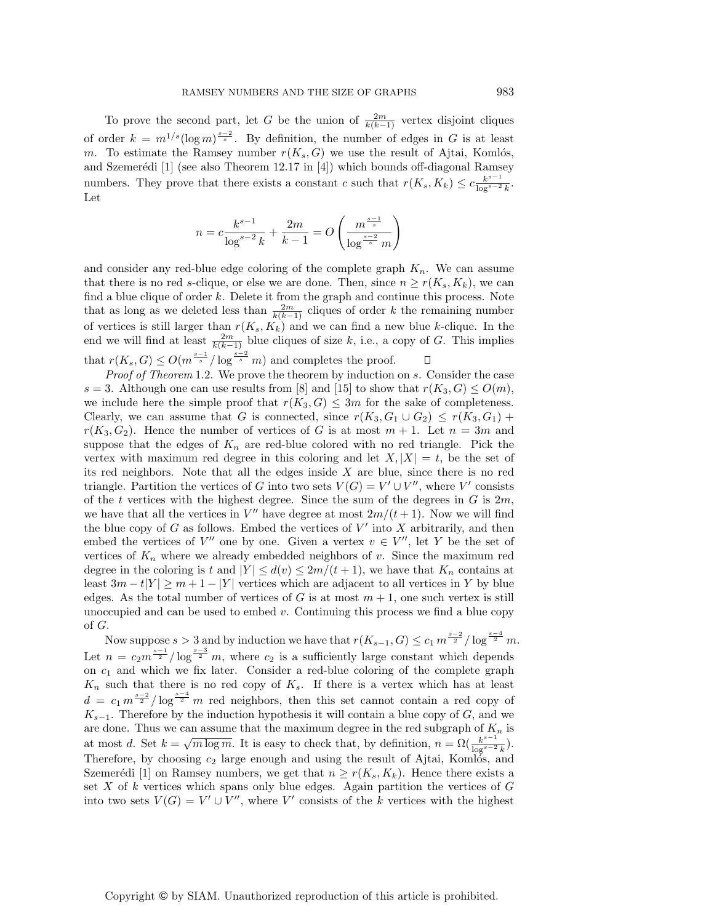To prove the second part, let G be the union of  $\frac{2m}{k(k-1)}$  vertex disjoint cliques of order  $k = m^{1/s} (\log m)^{\frac{s-2}{s}}$ . By definition, the number of edges in G is at least m. To estimate the Ramsey number  $r(K_s, G)$  we use the result of Ajtai, Komlós, and Szemerédi  $[1]$  (see also Theorem 12.17 in  $[4]$ ) which bounds off-diagonal Ramsey numbers. They prove that there exists a constant c such that  $r(K_s, K_k) \leq c \frac{k^{s-1}}{\log^{s-2} k}$ . Let

$$
n = c \frac{k^{s-1}}{\log^{s-2} k} + \frac{2m}{k-1} = O\left(\frac{m^{\frac{s-1}{s}}}{\log^{\frac{s-2}{s}} m}\right)
$$

and consider any red-blue edge coloring of the complete graph  $K_n$ . We can assume that there is no red s-clique, or else we are done. Then, since  $n \geq r(K_s, K_k)$ , we can find a blue clique of order  $k$ . Delete it from the graph and continue this process. Note that as long as we deleted less than  $\frac{2m}{k(k-1)}$  cliques of order k the remaining number of vertices is still larger than  $r(K_s, K_k)$  and we can find a new blue k-clique. In the end we will find at least  $\frac{2m}{k(k-1)}$  blue cliques of size k, i.e., a copy of G. This implies that  $r(K_s, G) \leq O(m^{\frac{s-1}{s}}/\log^{\frac{s-2}{s}} m)$  and completes the proof.  $\Box$ 

Proof of Theorem 1.2. We prove the theorem by induction on s. Consider the case s = 3. Although one can use results from [8] and [15] to show that  $r(K_3, G) \leq O(m)$ , we include here the simple proof that  $r(K_3, G) \leq 3m$  for the sake of completeness. Clearly, we can assume that G is connected, since  $r(K_3, G_1 \cup G_2) \leq r(K_3, G_1)$  +  $r(K_3, G_2)$ . Hence the number of vertices of G is at most  $m + 1$ . Let  $n = 3m$  and suppose that the edges of  $K_n$  are red-blue colored with no red triangle. Pick the vertex with maximum red degree in this coloring and let  $X, |X| = t$ , be the set of its red neighbors. Note that all the edges inside  $X$  are blue, since there is no red triangle. Partition the vertices of G into two sets  $V(G) = V' \cup V''$ , where V' consists of the t vertices with the highest degree. Since the sum of the degrees in  $G$  is  $2m$ , we have that all the vertices in  $V''$  have degree at most  $2m/(t+1)$ . Now we will find the blue copy of  $G$  as follows. Embed the vertices of  $V'$  into  $X$  arbitrarily, and then embed the vertices of V'' one by one. Given a vertex  $v \in V''$ , let Y be the set of vertices of  $K_n$  where we already embedded neighbors of v. Since the maximum red degree in the coloring is t and  $|Y| \leq d(v) \leq 2m/(t+1)$ , we have that  $K_n$  contains at least  $3m - t|Y| \geq m + 1 - |Y|$  vertices which are adjacent to all vertices in Y by blue edges. As the total number of vertices of G is at most  $m + 1$ , one such vertex is still unoccupied and can be used to embed  $v$ . Continuing this process we find a blue copy of G.

Now suppose  $s > 3$  and by induction we have that  $r(K_{s-1}, G) \leq c_1 m^{\frac{s-2}{2}} / \log^{\frac{s-4}{2}} m$ . Let  $n = c_2 m^{\frac{s-1}{2}} / \log^{\frac{s-3}{2}} m$ , where  $c_2$  is a sufficiently large constant which depends on  $c_1$  and which we fix later. Consider a red-blue coloring of the complete graph  $K_n$  such that there is no red copy of  $K_s$ . If there is a vertex which has at least  $d = c_1 m^{\frac{s-2}{2}} / \log^{\frac{s-4}{2}} m$  red neighbors, then this set cannot contain a red copy of  $K_{s-1}$ . Therefore by the induction hypothesis it will contain a blue copy of G, and we are done. Thus we can assume that the maximum degree in the red subgraph of  $K_n$  is at most d. Set  $k = \sqrt{m \log m}$ . It is easy to check that, by definition,  $n = \Omega(\frac{k^{s-1}}{\log^{s-2} k})$ . Therefore, by choosing  $c_2$  large enough and using the result of Ajtai, Komlos, and Szemerédi [1] on Ramsey numbers, we get that  $n \geq r(K_s, K_k)$ . Hence there exists a set X of k vertices which spans only blue edges. Again partition the vertices of  $G$ into two sets  $V(G) = V' \cup V''$ , where V' consists of the k vertices with the highest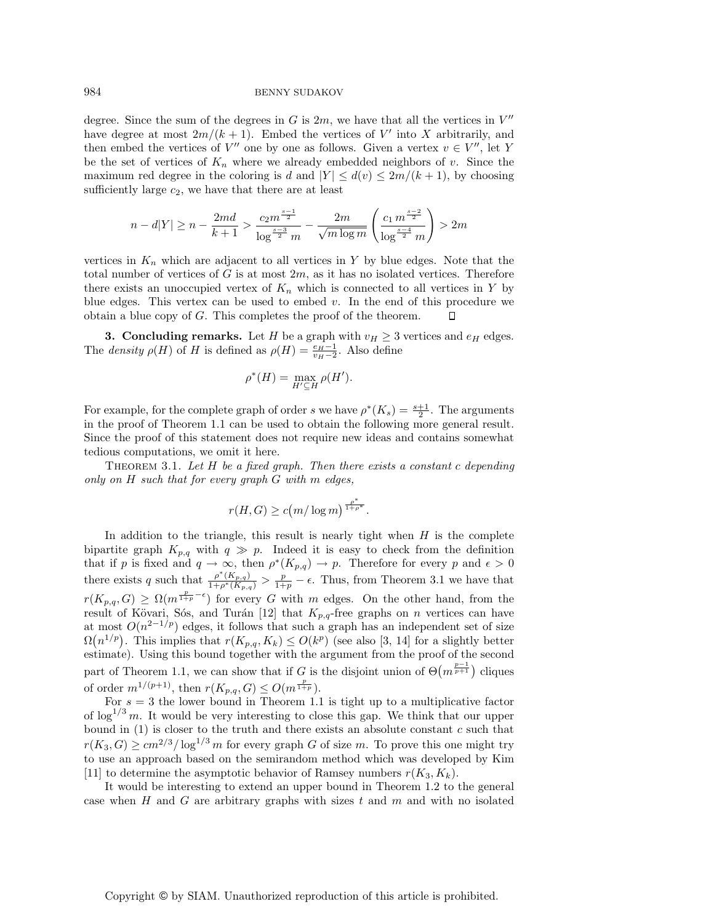984 BENNY SUDAKOV

degree. Since the sum of the degrees in G is  $2m$ , we have that all the vertices in  $V''$ have degree at most  $2m/(k+1)$ . Embed the vertices of V' into X arbitrarily, and then embed the vertices of  $V''$  one by one as follows. Given a vertex  $v \in V''$ , let Y be the set of vertices of  $K_n$  where we already embedded neighbors of v. Since the maximum red degree in the coloring is d and  $|Y| \leq d(v) \leq 2m/(k+1)$ , by choosing sufficiently large  $c_2$ , we have that there are at least

$$
n - d|Y| \ge n - \frac{2md}{k+1} > \frac{c_2 m^{\frac{s-1}{2}}}{\log^{\frac{s-3}{2}} m} - \frac{2m}{\sqrt{m \log m}} \left( \frac{c_1 m^{\frac{s-2}{2}}}{\log^{\frac{s-4}{2}} m} \right) > 2m
$$

vertices in  $K_n$  which are adjacent to all vertices in Y by blue edges. Note that the total number of vertices of  $G$  is at most  $2m$ , as it has no isolated vertices. Therefore there exists an unoccupied vertex of  $K_n$  which is connected to all vertices in Y by blue edges. This vertex can be used to embed  $v$ . In the end of this procedure we obtain a blue copy of G. This completes the proof of the theorem. П

**3. Concluding remarks.** Let H be a graph with  $v_H \geq 3$  vertices and  $e_H$  edges. The *density*  $\rho(H)$  of H is defined as  $\rho(H) = \frac{e_H - 1}{v_H - 2}$ . Also define

$$
\rho^*(H) = \max_{H' \subseteq H} \rho(H').
$$

For example, for the complete graph of order s we have  $\rho^*(K_s) = \frac{s+1}{2}$ . The arguments in the proof of Theorem 1.1 can be used to obtain the following more general result. Since the proof of this statement does not require new ideas and contains somewhat tedious computations, we omit it here.

THEOREM 3.1. Let  $H$  be a fixed graph. Then there exists a constant c depending only on  $H$  such that for every graph  $G$  with  $m$  edges,

$$
r(H, G) \ge c(m/\log m)^{\frac{\rho^*}{1+\rho^*}}.
$$

In addition to the triangle, this result is nearly tight when  $H$  is the complete bipartite graph  $K_{p,q}$  with  $q \gg p$ . Indeed it is easy to check from the definition that if p is fixed and  $q \to \infty$ , then  $\rho^*(K_{p,q}) \to p$ . Therefore for every p and  $\epsilon > 0$ there exists q such that  $\frac{\rho^*(K_{p,q})}{1+\rho^*(K_{p,q})} > \frac{p}{1+p} - \epsilon$ . Thus, from Theorem 3.1 we have that  $r(K_{p,q}, G) \geq \Omega(m^{\frac{p}{1+p}-\epsilon})$  for every G with m edges. On the other hand, from the result of Kövari, Sós, and Turán [12] that  $K_{p,q}$ -free graphs on n vertices can have at most  $O(n^{2-1/p})$  edges, it follows that such a graph has an independent set of size  $\Omega(n^{1/p})$ . This implies that  $r(K_{p,q}, K_k) \leq O(k^p)$  (see also [3, 14] for a slightly better estimate). Using this bound together with the argument from the proof of the second part of Theorem 1.1, we can show that if G is the disjoint union of  $\Theta(m^{\frac{p-1}{p+1}})$  cliques of order  $m^{1/(p+1)}$ , then  $r(K_{p,q}, G) \leq O(m^{\frac{p}{1+p}})$ .

For  $s = 3$  the lower bound in Theorem 1.1 is tight up to a multiplicative factor of  $\log^{1/3} m$ . It would be very interesting to close this gap. We think that our upper bound in  $(1)$  is closer to the truth and there exists an absolute constant  $c$  such that  $r(K_3, G) \geq cm^{2/3} / \log^{1/3} m$  for every graph G of size m. To prove this one might try to use an approach based on the semirandom method which was developed by Kim [11] to determine the asymptotic behavior of Ramsey numbers  $r(K_3, K_k)$ .

It would be interesting to extend an upper bound in Theorem 1.2 to the general case when  $H$  and  $G$  are arbitrary graphs with sizes  $t$  and  $m$  and with no isolated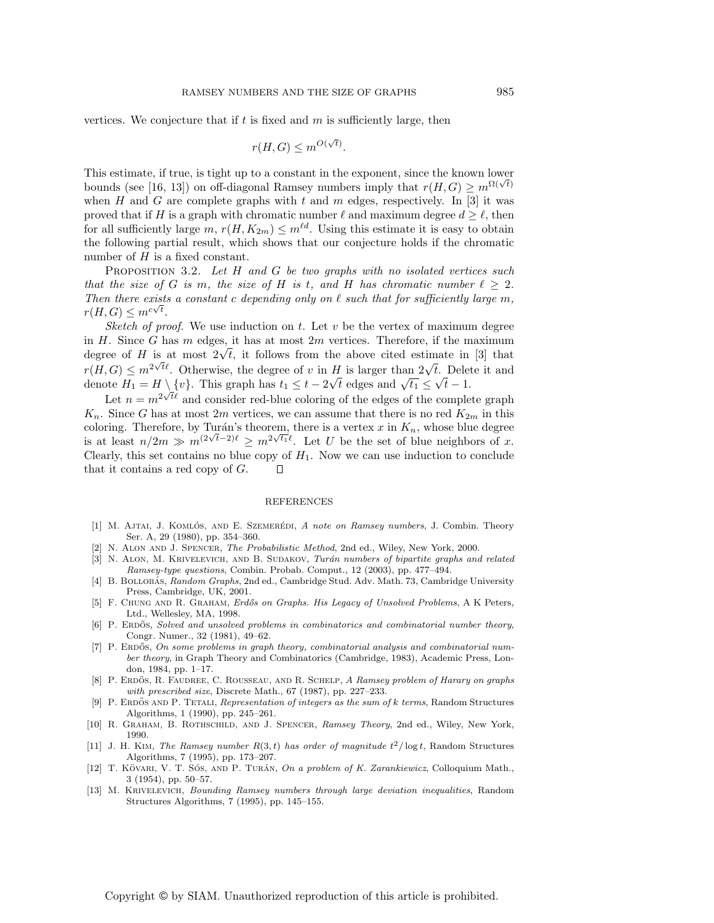vertices. We conjecture that if  $t$  is fixed and  $m$  is sufficiently large, then

$$
r(H, G) \le m^{O(\sqrt{t})}.
$$

This estimate, if true, is tight up to a constant in the exponent, since the known lower bounds (see [16, 13]) on off-diagonal Ramsey numbers imply that  $r(H, G) \geq m^{\Omega(\sqrt{t})}$ when H and G are complete graphs with t and m edges, respectively. In [3] it was proved that if H is a graph with chromatic number  $\ell$  and maximum degree  $d > \ell$ , then for all sufficiently large  $m, r(H, K_{2m}) \leq m^{\ell d}$ . Using this estimate it is easy to obtain the following partial result, which shows that our conjecture holds if the chromatic number of  $H$  is a fixed constant.

PROPOSITION 3.2. Let H and G be two graphs with no isolated vertices such that the size of G is m, the size of H is t, and H has chromatic number  $\ell \geq 2$ . Then there exists a constant c depending only on  $\ell$  such that for sufficiently large m,  $r(H, G) \leq m^{c\sqrt{t}}.$ 

Sketch of proof. We use induction on t. Let  $v$  be the vertex of maximum degree in  $H$ . Since  $G$  has  $m$  edges, it has at most  $2m$  vertices. Therefore, if the maximum degree of H is at most  $2\sqrt{t}$ , it follows from the above cited estimate in [3] that  $r(H, G) \leq m^{2\sqrt{t}}$ . Otherwise, the degree of v in H is larger than  $2\sqrt{t}$ . Delete it and  $T(H, G) \leq m$ <sup>- $\cdots$ </sup>. Otherwise, the degree of v in *H* is larger than  $2\sqrt{t}$ . Defection denote  $H_1 = H \setminus \{v\}$ . This graph has  $t_1 \leq t - 2\sqrt{t}$  edges and  $\sqrt{t_1} \leq \sqrt{t} - 1$ .

Let  $n = m^{2\sqrt{t\ell}}$  and consider red-blue coloring of the edges of the complete graph  $K_n$ . Since G has at most 2m vertices, we can assume that there is no red  $K_{2m}$  in this coloring. Therefore, by Turán's theorem, there is a vertex x in  $K_n$ , whose blue degree is at least  $n/2m \gg m^{(2\sqrt{t}-2)\ell} \ge m^{2\sqrt{t_1}\ell}$ . Let U be the set of blue neighbors of x. Clearly, this set contains no blue copy of  $H_1$ . Now we can use induction to conclude that it contains a red copy of  $G$ .  $\Box$ 

#### REFERENCES

- [1] M. AJTAI, J. KOMLÓS, AND E. SZEMERÉDI, A note on Ramsey numbers, J. Combin. Theory Ser. A, 29 (1980), pp. 354–360.
- [2] N. Alon and J. Spencer, The Probabilistic Method, 2nd ed., Wiley, New York, 2000.
- [3] N. ALON, M. KRIVELEVICH, AND B. SUDAKOV, Turán numbers of bipartite graphs and related Ramsey-type questions, Combin. Probab. Comput., 12 (2003), pp. 477–494.
- [4] B. BOLLOBÁS, Random Graphs, 2nd ed., Cambridge Stud. Adv. Math. 73, Cambridge University Press, Cambridge, UK, 2001.
- [5] F. CHUNG AND R. GRAHAM, Erdős on Graphs. His Legacy of Unsolved Problems, A K Peters, Ltd., Wellesley, MA, 1998.
- [6] P. ERDOS, Solved and unsolved problems in combinatorics and combinatorial number theory, Congr. Numer., 32 (1981), 49–62.
- [7] P. ERDOS, On some problems in graph theory, combinatorial analysis and combinatorial number theory, in Graph Theory and Combinatorics (Cambridge, 1983), Academic Press, London, 1984, pp. 1–17.
- [8] P. ERDŐS, R. FAUDREE, C. ROUSSEAU, AND R. SCHELP, A Ramsey problem of Harary on graphs with prescribed size, Discrete Math., 67 (1987), pp. 227–233.
- [9] P. ERDOS AND P. TETALI, Representation of integers as the sum of  $k$  terms, Random Structures Algorithms, 1 (1990), pp. 245–261.
- [10] R. Graham, B. Rothschild, and J. Spencer, Ramsey Theory, 2nd ed., Wiley, New York, 1990.
- [11] J. H. KIM, The Ramsey number  $R(3,t)$  has order of magnitude  $t^2/\log t$ , Random Structures Algorithms, 7 (1995), pp. 173–207.
- [12] T. KÖVARI, V. T. SÓS, AND P. TURÁN, On a problem of K. Zarankiewicz, Colloquium Math., 3 (1954), pp. 50–57.
- [13] M. Krivelevich, Bounding Ramsey numbers through large deviation inequalities, Random Structures Algorithms, 7 (1995), pp. 145–155.